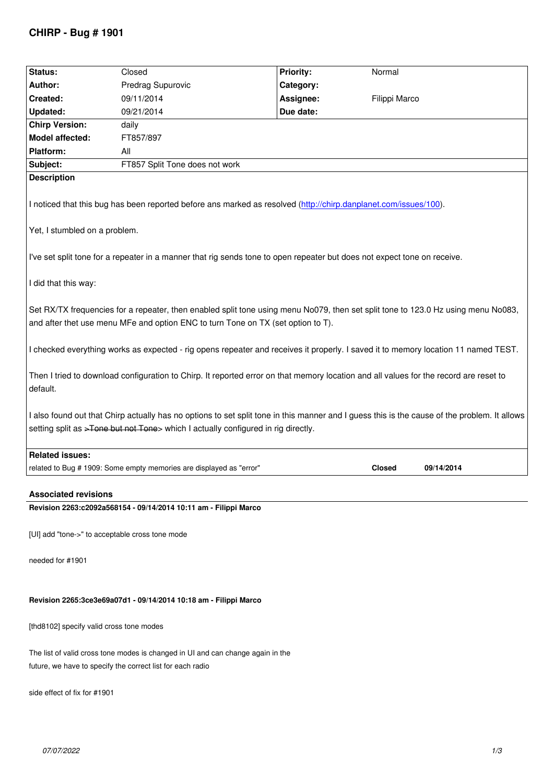| Status:                                                                                                                                                                                                               | Closed                                                                                                                                                                                                                            | <b>Priority:</b> | Normal        |            |  |  |
|-----------------------------------------------------------------------------------------------------------------------------------------------------------------------------------------------------------------------|-----------------------------------------------------------------------------------------------------------------------------------------------------------------------------------------------------------------------------------|------------------|---------------|------------|--|--|
| Author:                                                                                                                                                                                                               | Predrag Supurovic                                                                                                                                                                                                                 | Category:        |               |            |  |  |
| Created:                                                                                                                                                                                                              | 09/11/2014                                                                                                                                                                                                                        | Assignee:        | Filippi Marco |            |  |  |
| <b>Updated:</b>                                                                                                                                                                                                       | 09/21/2014                                                                                                                                                                                                                        | Due date:        |               |            |  |  |
| <b>Chirp Version:</b>                                                                                                                                                                                                 | daily                                                                                                                                                                                                                             |                  |               |            |  |  |
| <b>Model affected:</b>                                                                                                                                                                                                | FT857/897                                                                                                                                                                                                                         |                  |               |            |  |  |
| <b>Platform:</b>                                                                                                                                                                                                      | All                                                                                                                                                                                                                               |                  |               |            |  |  |
| Subject:                                                                                                                                                                                                              | FT857 Split Tone does not work                                                                                                                                                                                                    |                  |               |            |  |  |
| <b>Description</b>                                                                                                                                                                                                    |                                                                                                                                                                                                                                   |                  |               |            |  |  |
| I noticed that this bug has been reported before ans marked as resolved (http://chirp.danplanet.com/issues/100).<br>Yet, I stumbled on a problem.                                                                     |                                                                                                                                                                                                                                   |                  |               |            |  |  |
| I've set split tone for a repeater in a manner that rig sends tone to open repeater but does not expect tone on receive.                                                                                              |                                                                                                                                                                                                                                   |                  |               |            |  |  |
| I did that this way:                                                                                                                                                                                                  |                                                                                                                                                                                                                                   |                  |               |            |  |  |
| Set RX/TX frequencies for a repeater, then enabled split tone using menu No079, then set split tone to 123.0 Hz using menu No083,<br>and after thet use menu MFe and option ENC to turn Tone on TX (set option to T). |                                                                                                                                                                                                                                   |                  |               |            |  |  |
| I checked everything works as expected - rig opens repeater and receives it properly. I saved it to memory location 11 named TEST.                                                                                    |                                                                                                                                                                                                                                   |                  |               |            |  |  |
| default.                                                                                                                                                                                                              | Then I tried to download configuration to Chirp. It reported error on that memory location and all values for the record are reset to                                                                                             |                  |               |            |  |  |
|                                                                                                                                                                                                                       | I also found out that Chirp actually has no options to set split tone in this manner and I guess this is the cause of the problem. It allows<br>setting split as >Tone but not Tone> which I actually configured in rig directly. |                  |               |            |  |  |
| <b>Related issues:</b>                                                                                                                                                                                                |                                                                                                                                                                                                                                   |                  |               |            |  |  |
|                                                                                                                                                                                                                       | related to Bug # 1909: Some empty memories are displayed as "error"                                                                                                                                                               |                  | <b>Closed</b> | 09/14/2014 |  |  |
| <b>Associated revisions</b>                                                                                                                                                                                           |                                                                                                                                                                                                                                   |                  |               |            |  |  |

**Revision 2263:c2092a568154 - 09/14/2014 10:11 am - Filippi Marco**

*[UI] add "tone->" to acceptable cross tone mode*

*needed for #1901*

# **Revision 2265:3ce3e69a07d1 - 09/14/2014 10:18 am - Filippi Marco**

*[thd8102] specify valid cross tone modes*

*The list of valid cross tone modes is changed in UI and can change again in the future, we have to specify the correct list for each radio*

*side effect of fix for #1901*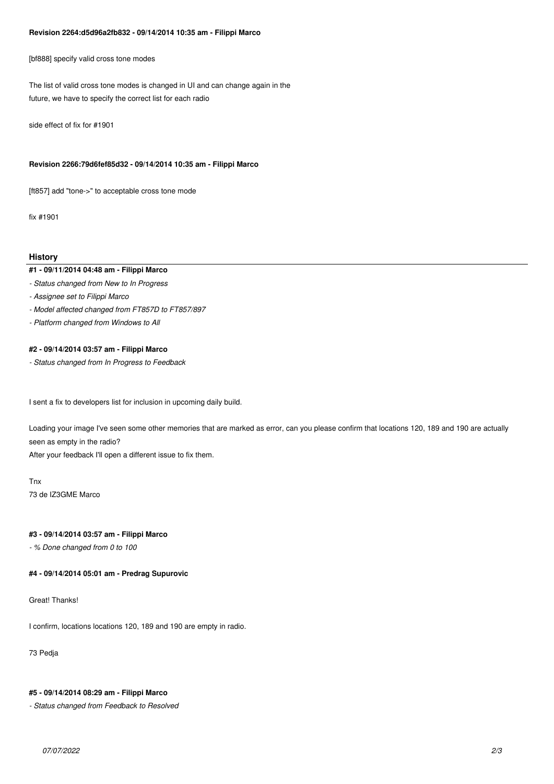#### **Revision 2264:d5d96a2fb832 - 09/14/2014 10:35 am - Filippi Marco**

*[bf888] specify valid cross tone modes*

*The list of valid cross tone modes is changed in UI and can change again in the future, we have to specify the correct list for each radio*

*side effect of fix for #1901*

### **Revision 2266:79d6fef85d32 - 09/14/2014 10:35 am - Filippi Marco**

*[ft857] add "tone->" to acceptable cross tone mode*

*fix #1901*

### **History**

### **#1 - 09/11/2014 04:48 am - Filippi Marco**

- *Status changed from New to In Progress*
- *Assignee set to Filippi Marco*
- *Model affected changed from FT857D to FT857/897*
- *Platform changed from Windows to All*

### **#2 - 09/14/2014 03:57 am - Filippi Marco**

*- Status changed from In Progress to Feedback*

*I sent a fix to developers list for inclusion in upcoming daily build.*

*Loading your image I've seen some other memories that are marked as error, can you please confirm that locations 120, 189 and 190 are actually seen as empty in the radio?*

*After your feedback I'll open a different issue to fix them.*

*Tnx 73 de IZ3GME Marco*

### **#3 - 09/14/2014 03:57 am - Filippi Marco**

*- % Done changed from 0 to 100*

### **#4 - 09/14/2014 05:01 am - Predrag Supurovic**

*Great! Thanks!*

*I confirm, locations locations 120, 189 and 190 are empty in radio.*

*73 Pedja*

#### **#5 - 09/14/2014 08:29 am - Filippi Marco**

*- Status changed from Feedback to Resolved*